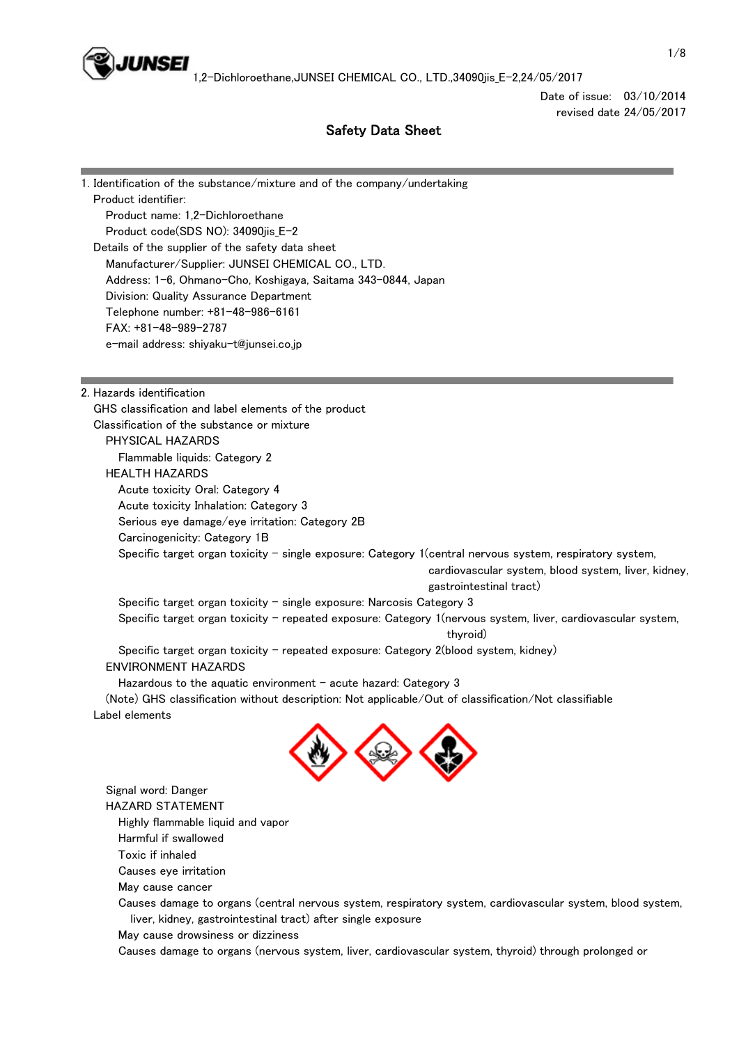

Date of issue: 03/10/2014 revised date 24/05/2017

# Safety Data Sheet

1. Identification of the substance/mixture and of the company/undertaking Product identifier: Product name: 1,2-Dichloroethane Product code(SDS NO): 34090jis\_E-2 Details of the supplier of the safety data sheet Manufacturer/Supplier: JUNSEI CHEMICAL CO., LTD. Address: 1-6, Ohmano-Cho, Koshigaya, Saitama 343-0844, Japan Division: Quality Assurance Department Telephone number: +81-48-986-6161 FAX: +81-48-989-2787 e-mail address: shiyaku-t@junsei.co.jp 2. Hazards identification GHS classification and label elements of the product Classification of the substance or mixture PHYSICAL HAZARDS Flammable liquids: Category 2 HEALTH HAZARDS Acute toxicity Oral: Category 4 Acute toxicity Inhalation: Category 3 Serious eye damage/eye irritation: Category 2B Carcinogenicity: Category 1B Specific target organ toxicity - single exposure: Category 1(central nervous system, respiratory system, cardiovascular system, blood system, liver, kidney, gastrointestinal tract) Specific target organ toxicity  $-$  single exposure: Narcosis Category 3 Specific target organ toxicity - repeated exposure: Category 1(nervous system, liver, cardiovascular system, thyroid) Specific target organ toxicity - repeated exposure: Category 2(blood system, kidney) ENVIRONMENT HAZARDS Hazardous to the aquatic environment  $-$  acute hazard: Category 3 (Note) GHS classification without description: Not applicable/Out of classification/Not classifiable Label elements Signal word: Danger HAZARD STATEMENT Highly flammable liquid and vapor Harmful if swallowed Toxic if inhaled Causes eye irritation May cause cancer Causes damage to organs (central nervous system, respiratory system, cardiovascular system, blood system, liver, kidney, gastrointestinal tract) after single exposure May cause drowsiness or dizziness Causes damage to organs (nervous system, liver, cardiovascular system, thyroid) through prolonged or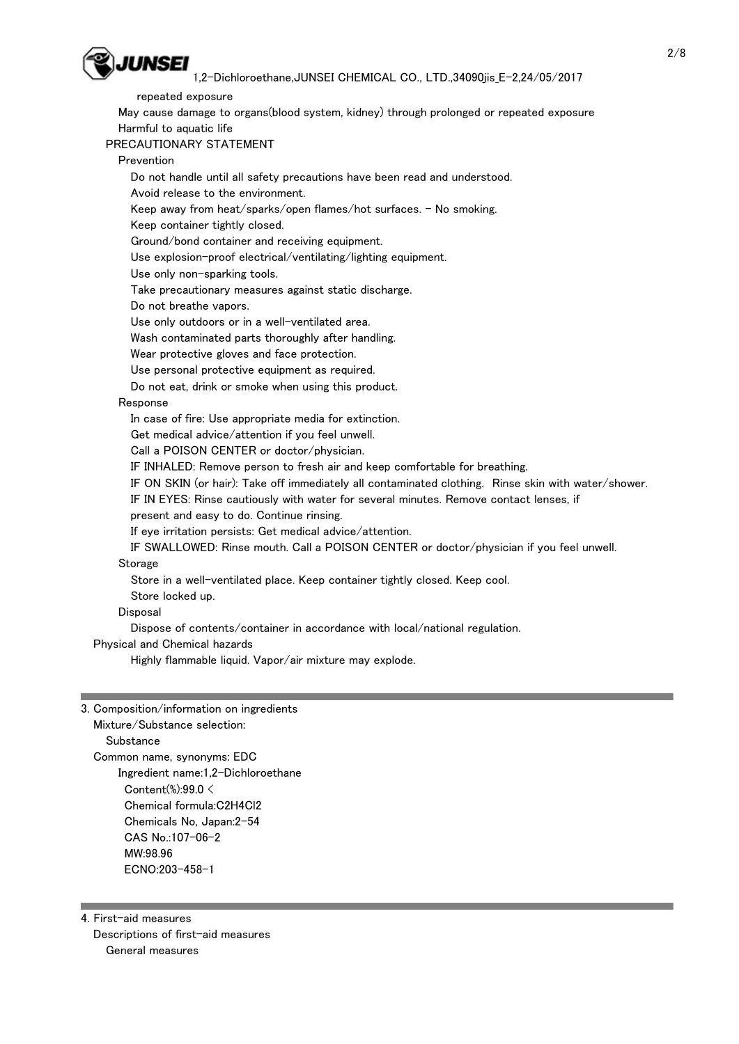

repeated exposure

 May cause damage to organs(blood system, kidney) through prolonged or repeated exposure Harmful to aquatic life

PRECAUTIONARY STATEMENT

Prevention

Do not handle until all safety precautions have been read and understood.

Avoid release to the environment.

Keep away from heat/sparks/open flames/hot surfaces. - No smoking.

Keep container tightly closed.

Ground/bond container and receiving equipment.

Use explosion-proof electrical/ventilating/lighting equipment.

Use only non-sparking tools.

Take precautionary measures against static discharge.

Do not breathe vapors.

Use only outdoors or in a well-ventilated area.

Wash contaminated parts thoroughly after handling.

Wear protective gloves and face protection.

Use personal protective equipment as required.

Do not eat, drink or smoke when using this product.

## Response

In case of fire: Use appropriate media for extinction.

Get medical advice/attention if you feel unwell.

Call a POISON CENTER or doctor/physician.

IF INHALED: Remove person to fresh air and keep comfortable for breathing.

IF ON SKIN (or hair): Take off immediately all contaminated clothing. Rinse skin with water/shower.

IF IN EYES: Rinse cautiously with water for several minutes. Remove contact lenses, if

present and easy to do. Continue rinsing.

If eye irritation persists: Get medical advice/attention.

IF SWALLOWED: Rinse mouth. Call a POISON CENTER or doctor/physician if you feel unwell.

Storage

Store in a well-ventilated place. Keep container tightly closed. Keep cool.

Store locked up.

Disposal

Dispose of contents/container in accordance with local/national regulation.

Physical and Chemical hazards

Highly flammable liquid. Vapor/air mixture may explode.

|  |  |  | 3. Composition/information on ingredients |
|--|--|--|-------------------------------------------|
|--|--|--|-------------------------------------------|

 Mixture/Substance selection: **Substance**  Common name, synonyms: EDC Ingredient name:1,2-Dichloroethane Content(%):99.0 < Chemical formula:C2H4Cl2 Chemicals No, Japan:2-54 CAS No.:107-06-2 MW:98.96

ECNO:203-458-1

4. First-aid measures

 Descriptions of first-aid measures General measures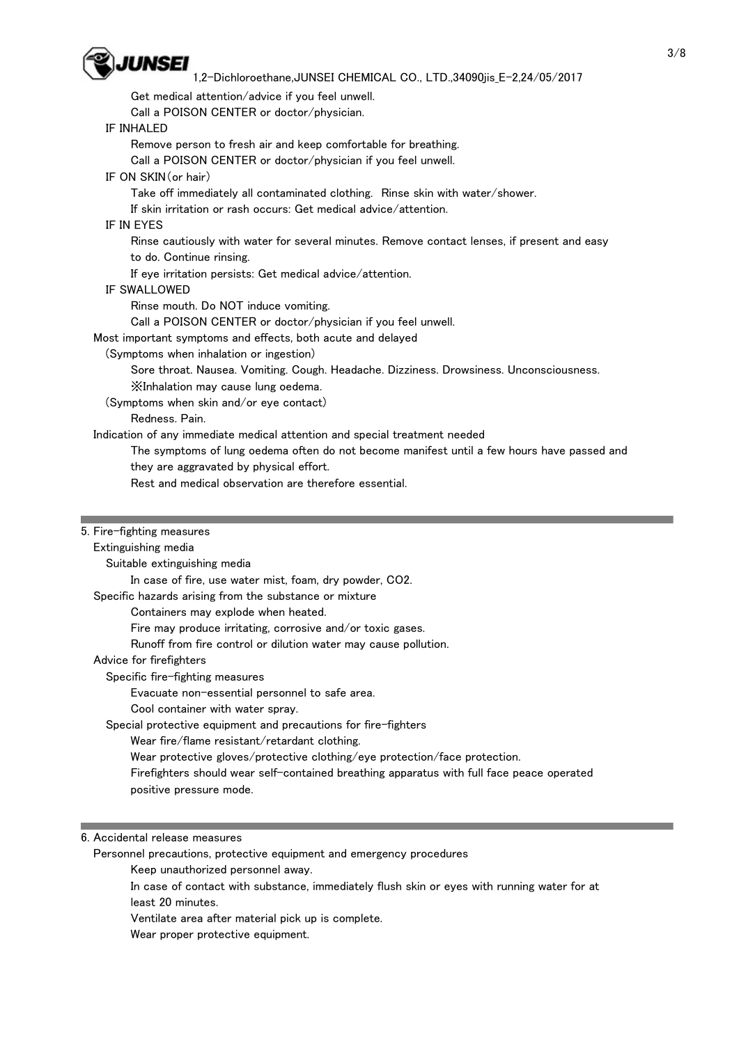

Get medical attention/advice if you feel unwell.

Call a POISON CENTER or doctor/physician.

## IF INHALED

Remove person to fresh air and keep comfortable for breathing.

Call a POISON CENTER or doctor/physician if you feel unwell.

IF ON SKIN(or hair)

Take off immediately all contaminated clothing. Rinse skin with water/shower.

If skin irritation or rash occurs: Get medical advice/attention.

## IF IN EYES

 Rinse cautiously with water for several minutes. Remove contact lenses, if present and easy to do. Continue rinsing.

If eye irritation persists: Get medical advice/attention.

#### IF SWALLOWED

Rinse mouth. Do NOT induce vomiting.

Call a POISON CENTER or doctor/physician if you feel unwell.

Most important symptoms and effects, both acute and delayed

(Symptoms when inhalation or ingestion)

Sore throat. Nausea. Vomiting. Cough. Headache. Dizziness. Drowsiness. Unconsciousness.

※Inhalation may cause lung oedema.

(Symptoms when skin and/or eye contact)

Redness. Pain.

Indication of any immediate medical attention and special treatment needed

The symptoms of lung oedema often do not become manifest until a few hours have passed and

they are aggravated by physical effort.

Rest and medical observation are therefore essential.

## 5. Fire-fighting measures

#### Extinguishing media

Suitable extinguishing media

In case of fire, use water mist, foam, dry powder, CO2.

Specific hazards arising from the substance or mixture

Containers may explode when heated.

Fire may produce irritating, corrosive and/or toxic gases.

Runoff from fire control or dilution water may cause pollution.

## Advice for firefighters

Specific fire-fighting measures

Evacuate non-essential personnel to safe area.

Cool container with water spray.

Special protective equipment and precautions for fire-fighters

Wear fire/flame resistant/retardant clothing.

Wear protective gloves/protective clothing/eye protection/face protection.

 Firefighters should wear self-contained breathing apparatus with full face peace operated positive pressure mode.

#### 6. Accidental release measures

Personnel precautions, protective equipment and emergency procedures

Keep unauthorized personnel away.

 In case of contact with substance, immediately flush skin or eyes with running water for at least 20 minutes.

Ventilate area after material pick up is complete.

Wear proper protective equipment.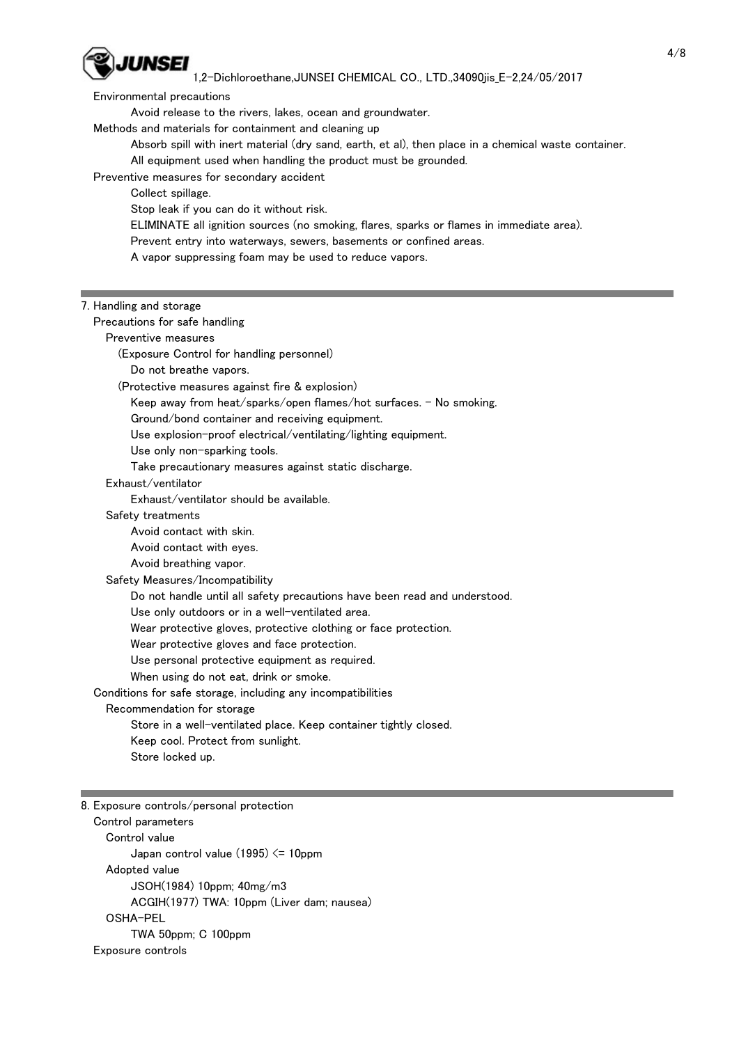

#### Environmental precautions

Avoid release to the rivers, lakes, ocean and groundwater.

Methods and materials for containment and cleaning up

Absorb spill with inert material (dry sand, earth, et al), then place in a chemical waste container.

All equipment used when handling the product must be grounded.

Preventive measures for secondary accident

Collect spillage.

Stop leak if you can do it without risk.

ELIMINATE all ignition sources (no smoking, flares, sparks or flames in immediate area).

Prevent entry into waterways, sewers, basements or confined areas.

A vapor suppressing foam may be used to reduce vapors.

#### 7. Handling and storage

 Precautions for safe handling Preventive measures

(Exposure Control for handling personnel)

Do not breathe vapors.

(Protective measures against fire & explosion)

Keep away from heat/sparks/open flames/hot surfaces. - No smoking.

Ground/bond container and receiving equipment.

Use explosion-proof electrical/ventilating/lighting equipment.

Use only non-sparking tools.

Take precautionary measures against static discharge.

## Exhaust/ventilator

Exhaust/ventilator should be available.

Safety treatments

Avoid contact with skin.

Avoid contact with eyes.

Avoid breathing vapor.

Safety Measures/Incompatibility

Do not handle until all safety precautions have been read and understood.

Use only outdoors or in a well-ventilated area.

Wear protective gloves, protective clothing or face protection.

Wear protective gloves and face protection.

Use personal protective equipment as required.

When using do not eat, drink or smoke.

Conditions for safe storage, including any incompatibilities

Recommendation for storage

Store in a well-ventilated place. Keep container tightly closed.

Keep cool. Protect from sunlight.

Store locked up.

8. Exposure controls/personal protection Control parameters Control value Japan control value (1995) <= 10ppm Adopted value JSOH(1984) 10ppm; 40mg/m3 ACGIH(1977) TWA: 10ppm (Liver dam; nausea) OSHA-PEL TWA 50ppm; C 100ppm Exposure controls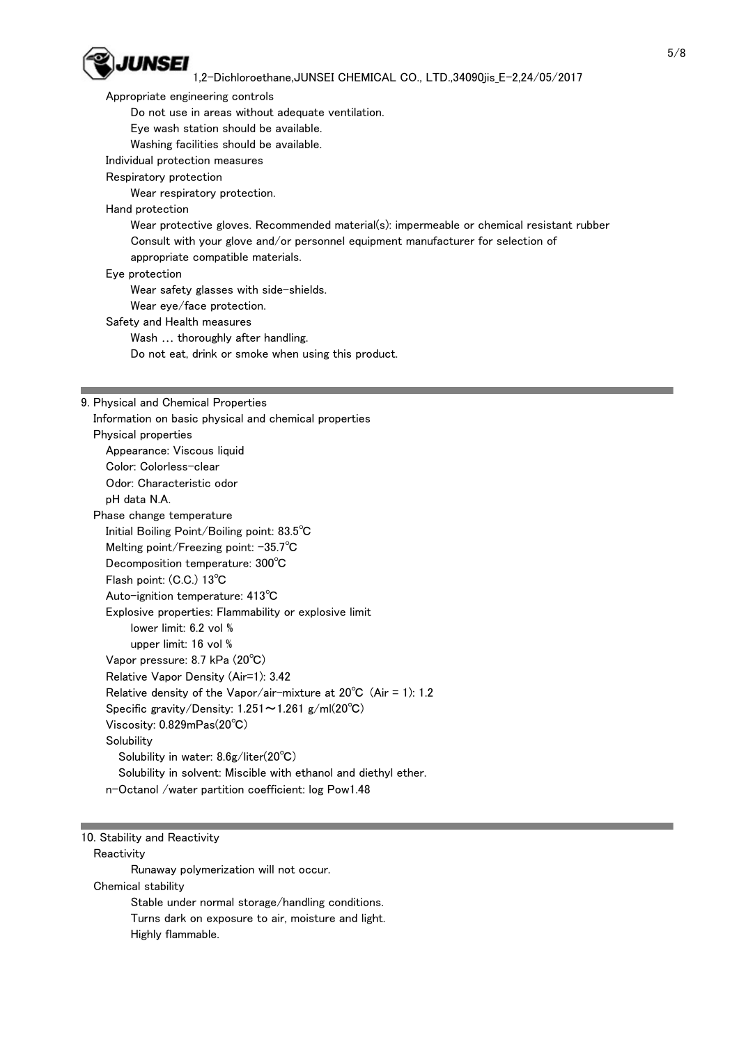

 Appropriate engineering controls Do not use in areas without adequate ventilation. Eye wash station should be available. Washing facilities should be available. Individual protection measures Respiratory protection Wear respiratory protection. Hand protection Wear protective gloves. Recommended material(s): impermeable or chemical resistant rubber Consult with your glove and/or personnel equipment manufacturer for selection of appropriate compatible materials. Eye protection Wear safety glasses with side-shields. Wear eye/face protection. Safety and Health measures Wash … thoroughly after handling. Do not eat, drink or smoke when using this product. 9. Physical and Chemical Properties Information on basic physical and chemical properties Physical properties Appearance: Viscous liquid Color: Colorless-clear Odor: Characteristic odor pH data N.A. Phase change temperature

 Initial Boiling Point/Boiling point: 83.5℃ Melting point/Freezing point: -35.7℃ Decomposition temperature: 300℃ Flash point: (C.C.) 13℃ Auto-ignition temperature: 413℃ Explosive properties: Flammability or explosive limit lower limit: 6.2 vol % upper limit: 16 vol % Vapor pressure: 8.7 kPa (20℃) Relative Vapor Density (Air=1): 3.42 Relative density of the Vapor/air-mixture at  $20^{\circ}$ C (Air = 1): 1.2 Specific gravity/Density: 1.251~1.261 g/ml(20℃) Viscosity: 0.829mPas(20℃) **Solubility**  Solubility in water: 8.6g/liter(20℃) Solubility in solvent: Miscible with ethanol and diethyl ether. n-Octanol /water partition coefficient: log Pow1.48

## 10. Stability and Reactivity

**Reactivity** 

 Runaway polymerization will not occur. Chemical stability Stable under normal storage/handling conditions. Turns dark on exposure to air, moisture and light. Highly flammable.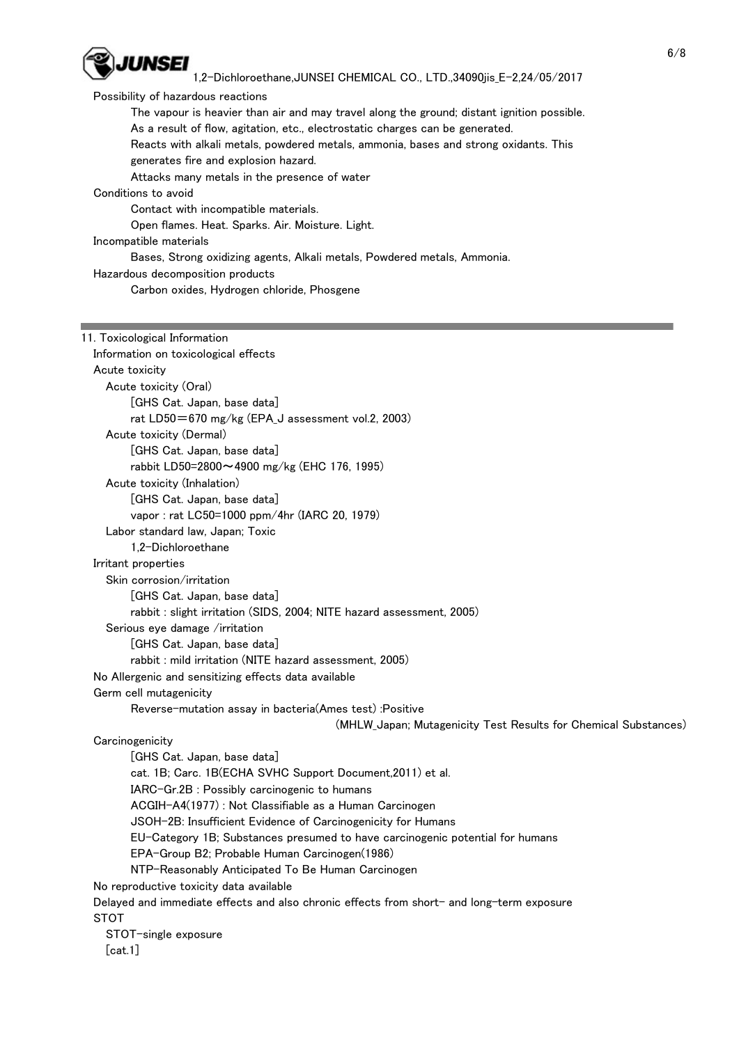

 Possibility of hazardous reactions The vapour is heavier than air and may travel along the ground; distant ignition possible. As a result of flow, agitation, etc., electrostatic charges can be generated. Reacts with alkali metals, powdered metals, ammonia, bases and strong oxidants. This generates fire and explosion hazard. Attacks many metals in the presence of water Conditions to avoid Contact with incompatible materials. Open flames. Heat. Sparks. Air. Moisture. Light. Incompatible materials Bases, Strong oxidizing agents, Alkali metals, Powdered metals, Ammonia. Hazardous decomposition products Carbon oxides, Hydrogen chloride, Phosgene 11. Toxicological Information Information on toxicological effects Acute toxicity

| Acute toxicity                                                                            |
|-------------------------------------------------------------------------------------------|
| Acute toxicity (Oral)                                                                     |
| [GHS Cat. Japan, base data]                                                               |
| rat LD50=670 mg/kg (EPA_J assessment vol.2, 2003)                                         |
| Acute toxicity (Dermal)                                                                   |
| [GHS Cat. Japan, base data]                                                               |
| rabbit LD50=2800~4900 mg/kg (EHC 176, 1995)                                               |
| Acute toxicity (Inhalation)                                                               |
| [GHS Cat. Japan, base data]                                                               |
| vapor: rat LC50=1000 ppm/4hr (IARC 20, 1979)                                              |
| Labor standard law, Japan; Toxic                                                          |
| 1.2-Dichloroethane                                                                        |
| Irritant properties                                                                       |
| Skin corrosion/irritation                                                                 |
| [GHS Cat. Japan, base data]                                                               |
| rabbit : slight irritation (SIDS, 2004; NITE hazard assessment, 2005)                     |
| Serious eye damage /irritation                                                            |
| [GHS Cat. Japan, base data]                                                               |
| rabbit: mild irritation (NITE hazard assessment, 2005)                                    |
| No Allergenic and sensitizing effects data available                                      |
| Germ cell mutagenicity                                                                    |
| Reverse-mutation assay in bacteria(Ames test) :Positive                                   |
| (MHLW_Japan; Mutagenicity Test Results for Chemical Substances)                           |
| Carcinogenicity                                                                           |
| [GHS Cat. Japan, base data]                                                               |
| cat. 1B; Carc. 1B(ECHA SVHC Support Document, 2011) et al.                                |
| IARC-Gr.2B : Possibly carcinogenic to humans                                              |
| ACGIH-A4(1977): Not Classifiable as a Human Carcinogen                                    |
| JSOH-2B: Insufficient Evidence of Carcinogenicity for Humans                              |
| EU-Category 1B; Substances presumed to have carcinogenic potential for humans             |
| EPA-Group B2; Probable Human Carcinogen(1986)                                             |
| NTP-Reasonably Anticipated To Be Human Carcinogen                                         |
| No reproductive toxicity data available                                                   |
| Delayed and immediate effects and also chronic effects from short- and long-term exposure |
| STOT                                                                                      |
| STOT-single exposure                                                                      |
| [cat.1]                                                                                   |
|                                                                                           |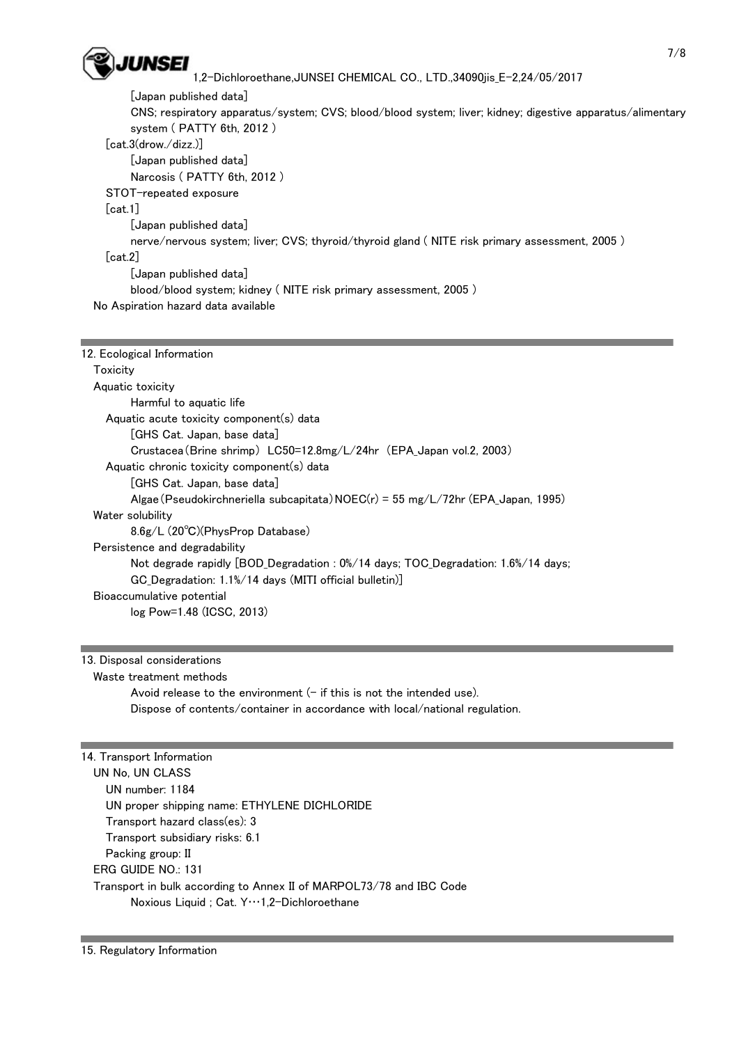

1,2-Dichloroethane,JUNSEI CHEMICAL CO., LTD.,34090jis\_E-2,24/05/2017 [Japan published data] CNS; respiratory apparatus/system; CVS; blood/blood system; liver; kidney; digestive apparatus/alimentary system ( PATTY 6th, 2012 ) [cat.3(drow./dizz.)] [Japan published data] Narcosis ( PATTY 6th, 2012 ) STOT-repeated exposure [cat.1] [Japan published data] nerve/nervous system; liver; CVS; thyroid/thyroid gland ( NITE risk primary assessment, 2005 ) [cat.2] [Japan published data] blood/blood system; kidney ( NITE risk primary assessment, 2005 ) No Aspiration hazard data available

| 12. Ecological Information                                                         |  |  |
|------------------------------------------------------------------------------------|--|--|
| Toxicity                                                                           |  |  |
| Aquatic toxicity                                                                   |  |  |
| Harmful to aquatic life                                                            |  |  |
| Aquatic acute toxicity component(s) data                                           |  |  |
| [GHS Cat. Japan, base data]                                                        |  |  |
| Crustacea (Brine shrimp) LC50=12.8mg/L/24hr (EPA_Japan vol.2, 2003)                |  |  |
| Aquatic chronic toxicity component(s) data                                         |  |  |
| [GHS Cat. Japan, base data]                                                        |  |  |
| Algae (Pseudokirchneriella subcapitata) $NOEC(r) = 55$ mg/L/72hr (EPA_Japan, 1995) |  |  |
| Water solubility                                                                   |  |  |
| 8.6g/L (20°C)(PhysProp Database)                                                   |  |  |
| Persistence and degradability                                                      |  |  |
| Not degrade rapidly [BOD Degradation : 0%/14 days; TOC Degradation: 1.6%/14 days;  |  |  |
| GC Degradation: 1.1%/14 days (MITI official bulletin)                              |  |  |
| Bioaccumulative potential                                                          |  |  |
| $log Pow = 1.48$ (ICSC, 2013)                                                      |  |  |
|                                                                                    |  |  |

## 13. Disposal considerations

 Waste treatment methods Avoid release to the environment  $(-$  if this is not the intended use).

Dispose of contents/container in accordance with local/national regulation.

| 14. Transport Information                                           |
|---------------------------------------------------------------------|
| UN No, UN CLASS                                                     |
| UN number: 1184                                                     |
| UN proper shipping name: ETHYLENE DICHLORIDE                        |
| Transport hazard class(es): 3                                       |
| Transport subsidiary risks: 6.1                                     |
| Packing group: II                                                   |
| ERG GUIDE $NO: 131$                                                 |
| Transport in bulk according to Annex II of MARPOL73/78 and IBC Code |
| Noxious Liquid ; Cat. Y · · · 1.2-Dichloroethane                    |
|                                                                     |